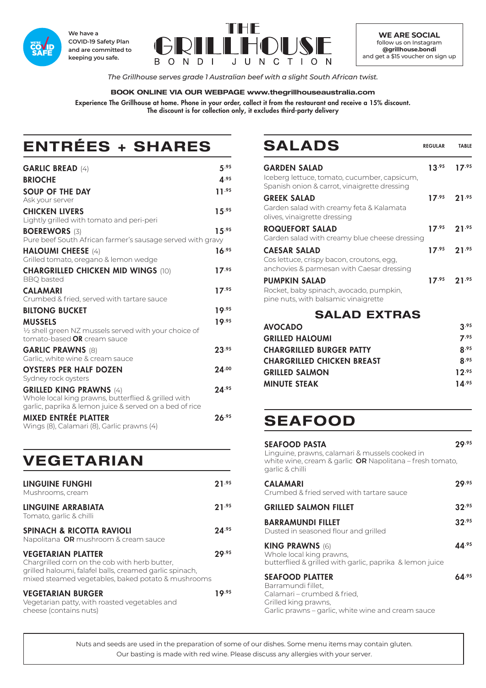

**We have a COVID-19 Safety Plan and are committed to keeping you safe.**



**WE ARE SOCIAL** follow us on Instagram **@grillhouse.bondi** and get a \$15 voucher on sign up

*The Grillhouse serves grade 1 Australian beef with a slight South African twist.*

### **BOOK ONLINE VIA OUR WEBPAGE www.thegrillhouseaustralia.com**

Experience The Grillhouse at home. Phone in your order, collect it from the restaurant and receive a 15% discount. The discount is for collection only, it excludes third-party delivery

# **ENTRÉES + SHARES**

| <b>GARLIC BREAD (4)</b>                                                                               | 5.95       |
|-------------------------------------------------------------------------------------------------------|------------|
| <b>BRIOCHE</b>                                                                                        | A.95       |
| <b>SOUP OF THE DAY</b>                                                                                | 11.95      |
| Ask your server                                                                                       |            |
| <b>CHICKEN LIVERS</b><br>Lightly grilled with tomato and peri-peri                                    | $15^{.95}$ |
| <b>BOEREWORS (3)</b>                                                                                  | 15.95      |
| Pure beef South African farmer's sausage served with gravy                                            |            |
| <b>HALOUMI CHEESE (4)</b><br>Grilled tomato, oregano & lemon wedge                                    | 16.95      |
| <b>CHARGRILLED CHICKEN MID WINGS (10)</b><br><b>BBQ</b> basted                                        | $17^{.95}$ |
| <b>CALAMARI</b>                                                                                       | 17.95      |
| Crumbed & fried, served with tartare sauce                                                            |            |
| <b>BILTONG BUCKET</b>                                                                                 | 19.95      |
| <b>MUSSELS</b>                                                                                        | 19.95      |
| $\frac{1}{2}$ shell green NZ mussels served with your choice of<br>tomato-based <b>OR</b> cream sauce |            |
| <b>GARLIC PRAWNS (8)</b><br>Garlic, white wine & cream sauce                                          | $23^{.95}$ |
| <b>OYSTERS PER HALF DOZEN</b>                                                                         | 24.00      |
| Sydney rock oysters                                                                                   |            |
| <b>GRILLED KING PRAWNS (4)</b><br>Whole local king prawns, butterflied & grilled with                 | 24.95      |
| garlic, paprika & lemon juice & served on a bed of rice                                               |            |
| MIXED ENTRÉE PLATTER                                                                                  | 26.95      |
| Wings (8), Calamari (8), Garlic prawns (4)                                                            |            |

## **VEGETARIAN**

| LINGUINE FUNGHI<br>Mushrooms, cream                                                                                                                                                         | 71.95      |
|---------------------------------------------------------------------------------------------------------------------------------------------------------------------------------------------|------------|
| LINGUINE ARRABIATA<br>Tomato, garlic & chilli                                                                                                                                               | 21.95      |
| <b>SPINACH &amp; RICOTTA RAVIOLI</b><br>Napolitana <b>OR</b> mushroom & cream sauce                                                                                                         | $24^{.95}$ |
| <b>VEGETARIAN PLATTER</b><br>Chargrilled corn on the cob with herb butter,<br>grilled haloumi, falafel balls, creamed garlic spinach,<br>mixed steamed vegetables, baked potato & mushrooms | 29.95      |
| <b>VEGETARIAN BURGER</b><br>Vegetarian patty, with roasted vegetables and<br>cheese (contains nuts)                                                                                         | 19.95      |

### SALADS REGULAR TABLE

| <b>GARDEN SALAD</b>                                                                          | $13^{.95}$ 17.95 |
|----------------------------------------------------------------------------------------------|------------------|
| Iceberg lettuce, tomato, cucumber, capsicum,<br>Spanish onion & carrot, vinaigrette dressing |                  |
| <b>GREEK SALAD</b>                                                                           | $17^{.95}$ 21.95 |
| Garden salad with creamy feta & Kalamata<br>olives, vinaigrette dressing                     |                  |
| <b>ROQUEFORT SALAD</b>                                                                       | $17^{.95}$ 21.95 |
| Garden salad with creamy blue cheese dressing                                                |                  |
| <b>CAESAR SALAD</b>                                                                          | $17^{.95}$ 21.95 |
| Cos lettuce, crispy bacon, croutons, egg,<br>anchovies & parmesan with Caesar dressing       |                  |
| <b>PUMPKIN SALAD</b>                                                                         | $17^{.95}$ 21.95 |
| Rocket, baby spinach, avocado, pumpkin,<br>pine nuts, with balsamic vinaigrette              |                  |
| <b>SALAD EXTRAS</b>                                                                          |                  |
| <b>AVOCADO</b>                                                                               | 3.95             |
| <b>GRILLED HALOUMI</b>                                                                       | 7.95             |
| AI I A R A R II I FR                                                                         | ໍ່ ^ີ            |

| R.95       |
|------------|
| R.95       |
| 12.95      |
| $14^{.95}$ |
|            |

# **SEAFOOD**

| <b>SEAFOOD PASTA</b><br>Linguine, prawns, calamari & mussels cooked in<br>white wine, cream & garlic <b>OR</b> Napolitana – fresh tomato,<br>garlic & chilli | 7Q.95      |
|--------------------------------------------------------------------------------------------------------------------------------------------------------------|------------|
| <b>CALAMARI</b><br>Crumbed & fried served with tartare sauce                                                                                                 | 29.95      |
| <b>GRILLED SALMON FILLET</b>                                                                                                                                 | $32^{.95}$ |
| <b>BARRAMUNDI FILLET</b><br>Dusted in seasoned flour and grilled                                                                                             | 32.95      |
| <b>KING PRAWNS (6)</b><br>Whole local king prawns,<br>butterflied & grilled with garlic, paprika & lemon juice                                               | 44.95      |
| <b>SEAFOOD PLATTER</b><br>Barramundi fillet,<br>Calamari – crumbed & fried,<br>Grilled king prawns,<br>Garlic prawns – garlic, white wine and cream sauce    | 64.95      |

Nuts and seeds are used in the preparation of some of our dishes. Some menu items may contain gluten. Our basting is made with red wine. Please discuss any allergies with your server.